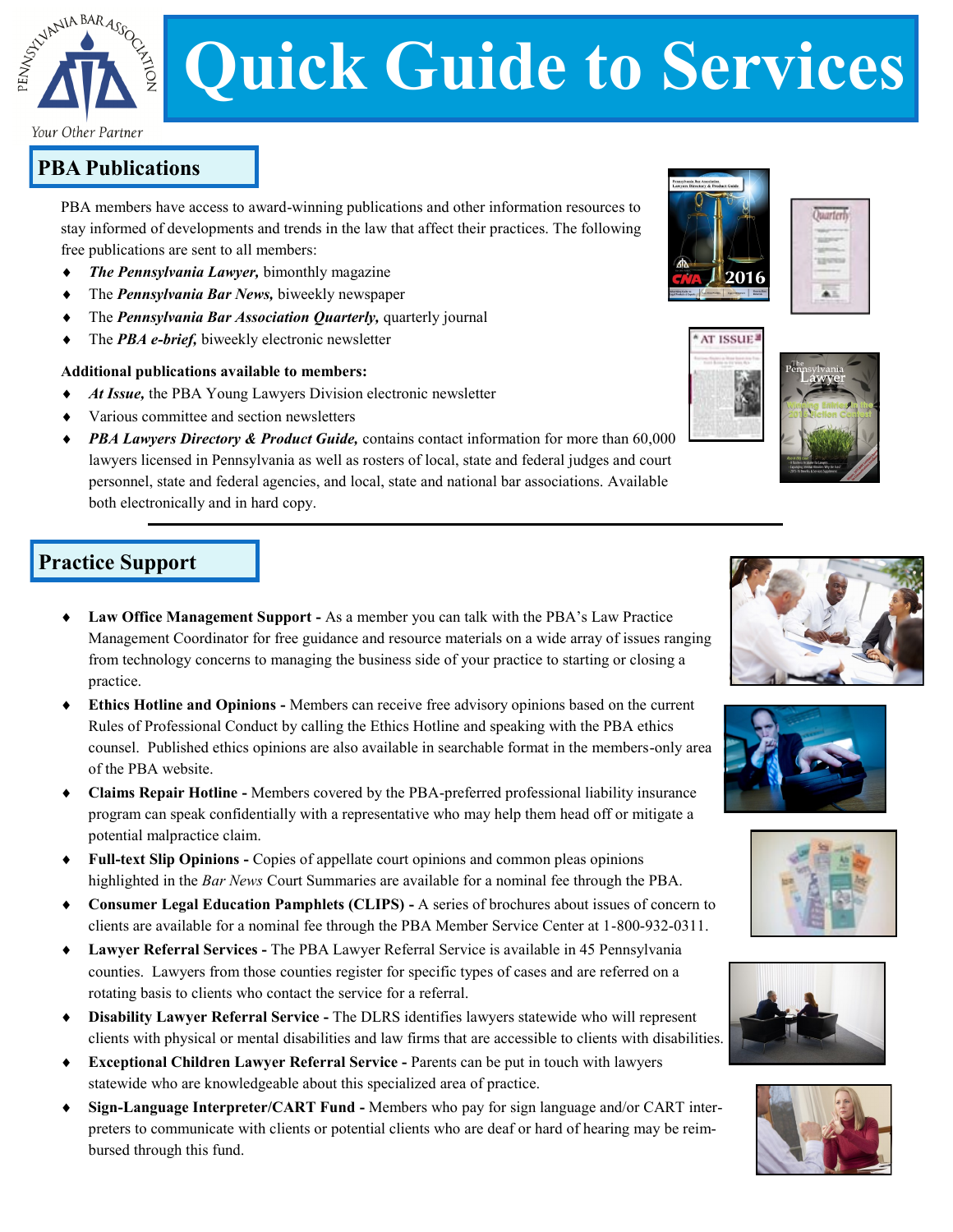

# **Quick Guide to Services**

#### Your Other Partner

# **PBA Publications**

PBA members have access to award-winning publications and other information resources to stay informed of developments and trends in the law that affect their practices. The following free publications are sent to all members:

- *The Pennsylvania Lawyer,* bimonthly magazine
- The *Pennsylvania Bar News,* biweekly newspaper
- The *Pennsylvania Bar Association Quarterly,* quarterly journal
- ◆ The *PBA e-brief*, biweekly electronic newsletter

#### **Additional publications available to members:**

- *At Issue,* the PBA Young Lawyers Division electronic newsletter
- Various committee and section newsletters



# **Practice Support**

- **Law Office Management Support -** As a member you can talk with the PBA's Law Practice Management Coordinator for free guidance and resource materials on a wide array of issues ranging from technology concerns to managing the business side of your practice to starting or closing a practice.
- **Ethics Hotline and Opinions -** Members can receive free advisory opinions based on the current Rules of Professional Conduct by calling the Ethics Hotline and speaking with the PBA ethics counsel. Published ethics opinions are also available in searchable format in the members-only area of the PBA website.
- **Claims Repair Hotline -** Members covered by the PBA-preferred professional liability insurance program can speak confidentially with a representative who may help them head off or mitigate a potential malpractice claim.
- **Full-text Slip Opinions -** Copies of appellate court opinions and common pleas opinions highlighted in the *Bar News* Court Summaries are available for a nominal fee through the PBA.
- **Consumer Legal Education Pamphlets (CLIPS) -** A series of brochures about issues of concern to clients are available for a nominal fee through the PBA Member Service Center at 1-800-932-0311.
- **Lawyer Referral Services -** The PBA Lawyer Referral Service is available in 45 Pennsylvania counties. Lawyers from those counties register for specific types of cases and are referred on a rotating basis to clients who contact the service for a referral.
- **Disability Lawyer Referral Service -** The DLRS identifies lawyers statewide who will represent clients with physical or mental disabilities and law firms that are accessible to clients with disabilities.
- **Exceptional Children Lawyer Referral Service -** Parents can be put in touch with lawyers statewide who are knowledgeable about this specialized area of practice.
- **Sign-Language Interpreter/CART Fund -** Members who pay for sign language and/or CART interpreters to communicate with clients or potential clients who are deaf or hard of hearing may be reimbursed through this fund.